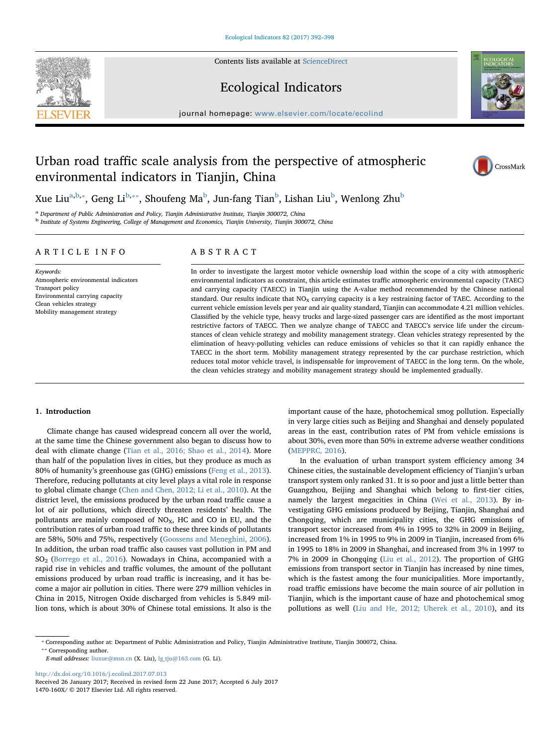Contents lists available at [ScienceDirect](http://www.sciencedirect.com/science/journal/1470160X)







journal homepage: [www.elsevier.com/locate/ecolind](http://www.elsevier.com/locate/ecolind)

## Urban road traffic scale analysis from the perspective of atmospheric environmental indicators in Tianjin, China



Xue Liu $\rm^{a,b,*}$ , Geng Li $\rm^{b,**}$ , Shoufeng Ma $\rm^b$ , Jun-fang Tian $\rm^b$ , Lishan Liu $\rm^b$ , Wenlong Zhu $\rm^b$ 

<sup>a</sup> Department of Public Administration and Policy, Tianjin Administrative Institute, Tianjin 300072, China

<sup>b</sup> Institute of Systems Engineering, College of Management and Economics, Tianjin University, Tianjin 300072, China

#### ARTICLE INFO

Keywords: Atmospheric environmental indicators Transport policy Environmental carrying capacity Clean vehicles strategy Mobility management strategy

### ABSTRACT

In order to investigate the largest motor vehicle ownership load within the scope of a city with atmospheric environmental indicators as constraint, this article estimates traffic atmospheric environmental capacity (TAEC) and carrying capacity (TAECC) in Tianjin using the A-value method recommended by the Chinese national standard. Our results indicate that  $NO<sub>x</sub>$  carrying capacity is a key restraining factor of TAEC. According to the current vehicle emission levels per year and air quality standard, Tianjin can accommodate 4.21 million vehicles. Classified by the vehicle type, heavy trucks and large-sized passenger cars are identified as the most important restrictive factors of TAECC. Then we analyze change of TAECC and TAECC's service life under the circumstances of clean vehicle strategy and mobility management strategy. Clean vehicles strategy represented by the elimination of heavy-polluting vehicles can reduce emissions of vehicles so that it can rapidly enhance the TAECC in the short term. Mobility management strategy represented by the car purchase restriction, which reduces total motor vehicle travel, is indispensable for improvement of TAECC in the long term. On the whole, the clean vehicles strategy and mobility management strategy should be implemented gradually.

#### 1. Introduction

Climate change has caused widespread concern all over the world, at the same time the Chinese government also began to discuss how to deal with climate change (Tian et al., 2016; Shao et al., 2014). More than half of the population lives in cities, but they produce as much as 80% of humanity's greenhouse gas (GHG) emissions (Feng et al., 2013). Therefore, reducing pollutants at city level plays a vital role in response to global climate change (Chen and Chen, 2012; Li et al., 2010). At the district level, the emissions produced by the urban road traffic cause a lot of air pollutions, which directly threaten residents' health. The pollutants are mainly composed of  $NO<sub>X</sub>$ , HC and CO in EU, and the contribution rates of urban road traffic to these three kinds of pollutants are 58%, 50% and 75%, respectively (Goossens and Meneghini, 2006). In addition, the urban road traffic also causes vast pollution in PM and SO2 (Borrego et al., 2016). Nowadays in China, accompanied with a rapid rise in vehicles and traffic volumes, the amount of the pollutant emissions produced by urban road traffic is increasing, and it has become a major air pollution in cities. There were 279 million vehicles in China in 2015, Nitrogen Oxide discharged from vehicles is 5.849 million tons, which is about 30% of Chinese total emissions. It also is the important cause of the haze, photochemical smog pollution. Especially in very large cities such as Beijing and Shanghai and densely populated areas in the east, contribution rates of PM from vehicle emissions is about 30%, even more than 50% in extreme adverse weather conditions (MEPPRC, 2016).

In the evaluation of urban transport system efficiency among 34 Chinese cities, the sustainable development efficiency of Tianjin's urban transport system only ranked 31. It is so poor and just a little better than Guangzhou, Beijing and Shanghai which belong to first-tier cities, namely the largest megacities in China (Wei et al., 2013). By investigating GHG emissions produced by Beijing, Tianjin, Shanghai and Chongqing, which are municipality cities, the GHG emissions of transport sector increased from 4% in 1995 to 32% in 2009 in Beijing, increased from 1% in 1995 to 9% in 2009 in Tianjin, increased from 6% in 1995 to 18% in 2009 in Shanghai, and increased from 3% in 1997 to 7% in 2009 in Chongqing (Liu et al., 2012). The proportion of GHG emissions from transport sector in Tianjin has increased by nine times, which is the fastest among the four municipalities. More importantly, road traffic emissions have become the main source of air pollution in Tianjin, which is the important cause of haze and photochemical smog pollutions as well (Liu and He, 2012; Uherek et al., 2010), and its

⁎ Corresponding author at: Department of Public Administration and Policy, Tianjin Administrative Institute, Tianjin 300072, China.

⁎⁎ Corresponding author.

<http://dx.doi.org/10.1016/j.ecolind.2017.07.013> Received 26 January 2017; Received in revised form 22 June 2017; Accepted 6 July 2017 1470-160X/ © 2017 Elsevier Ltd. All rights reserved.

E-mail addresses: [liuxue@msn.cn](mailto:liuxue@msn.cn) (X. Liu), [lg\\_tju@163.com](mailto:lg_tju@163.com) (G. Li).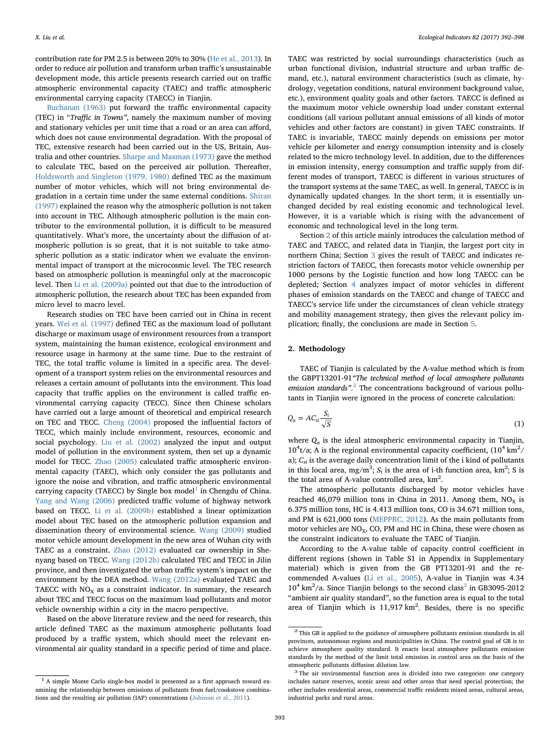contribution rate for PM 2.5 is between 20% to 30% (He et al., 2013). In order to reduce air pollution and transform urban traffic's unsustainable development mode, this article presents research carried out on traffic atmospheric environmental capacity (TAEC) and traffic atmospheric environmental carrying capacity (TAECC) in Tianjin.

Buchanan (1963) put forward the traffic environmental capacity (TEC) in "Traffic in Towns", namely the maximum number of moving and stationary vehicles per unit time that a road or an area can afford, which does not cause environmental degradation. With the proposal of TEC, extensive research had been carried out in the US, Britain, Australia and other countries. Sharpe and Maxman (1973) gave the method to calculate TEC, based on the perceived air pollution. Thereafter, Holdsworth and Singleton (1979, 1980) defined TEC as the maximum number of motor vehicles, which will not bring environmental degradation in a certain time under the same external conditions. Shiran (1997) explained the reason why the atmospheric pollution is not taken into account in TEC. Although atmospheric pollution is the main contributor to the environmental pollution, it is difficult to be measured quantitatively. What's more, the uncertainty about the diffusion of atmospheric pollution is so great, that it is not suitable to take atmospheric pollution as a static indicator when we evaluate the environmental impact of transport at the microcosmic level. The TEC research based on atmospheric pollution is meaningful only at the macroscopic level. Then Li et al. (2009a) pointed out that due to the introduction of atmospheric pollution, the research about TEC has been expanded from micro level to macro level.

Research studies on TEC have been carried out in China in recent years. Wei et al. (1997) defined TEC as the maximum load of pollutant discharge or maximum usage of environment resources from a transport system, maintaining the human existence, ecological environment and resource usage in harmony at the same time. Due to the restraint of TEC, the total traffic volume is limited in a specific area. The development of a transport system relies on the environmental resources and releases a certain amount of pollutants into the environment. This load capacity that traffic applies on the environment is called traffic environmental carrying capacity (TECC). Since then Chinese scholars have carried out a large amount of theoretical and empirical research on TEC and TECC. Cheng (2004) proposed the influential factors of TECC, which mainly include environment, resources, economic and social psychology. Liu et al. (2002) analyzed the input and output model of pollution in the environment system, then set up a dynamic model for TECC. Zhao (2005) calculated traffic atmospheric environmental capacity (TAEC), which only consider the gas pollutants and ignore the noise and vibration, and traffic atmospheric environmental carrying capacity (TAECC) by Single box model<sup>1</sup> in Chengdu of China. Yang and Wang (2006) predicted traffic volume of highway network based on TECC. Li et al. (2009b) established a linear optimization model about TEC based on the atmospheric pollution expansion and dissemination theory of environmental science. Wang (2009) studied motor vehicle amount development in the new area of Wuhan city with TAEC as a constraint. Zhao (2012) evaluated car ownership in Shenyang based on TECC. Wang (2012b) calculated TEC and TECC in Jilin province, and then investigated the urban traffic system's impact on the environment by the DEA method. Wang (2012a) evaluated TAEC and TAECC with  $NO<sub>x</sub>$  as a constraint indicator. In summary, the research about TEC and TECC focus on the maximum load pollutants and motor vehicle ownership within a city in the macro perspective.

Based on the above literature review and the need for research, this article defined TAEC as the maximum atmospheric pollutants load produced by a traffic system, which should meet the relevant environmental air quality standard in a specific period of time and place. TAEC was restricted by social surroundings characteristics (such as urban functional division, industrial structure and urban traffic demand, etc.), natural environment characteristics (such as climate, hydrology, vegetation conditions, natural environment background value, etc.), environment quality goals and other factors. TAECC is defined as the maximum motor vehicle ownership load under constant external conditions (all various pollutant annual emissions of all kinds of motor vehicles and other factors are constant) in given TAEC constraints. If TAEC is invariable, TAECC mainly depends on emissions per motor vehicle per kilometer and energy consumption intensity and is closely related to the micro technology level. In addition, due to the differences in emission intensity, energy consumption and traffic supply from different modes of transport, TAECC is different in various structures of the transport systems at the same TAEC, as well. In general, TAECC is in dynamically updated changes. In the short term, it is essentially unchanged decided by real existing economic and technological level. However, it is a variable which is rising with the advancement of economic and technological level in the long term.

Section 2 of this article mainly introduces the calculation method of TAEC and TAECC, and related data in Tianjin, the largest port city in northern China; Section 3 gives the result of TAECC and indicates restriction factors of TAECC, then forecasts motor vehicle ownership per 1000 persons by the Logistic function and how long TAECC can be depleted; Section 4 analyzes impact of motor vehicles in different phases of emission standards on the TAECC and change of TAECC and TAECC's service life under the circumstances of clean vehicle strategy and mobility management strategy, then gives the relevant policy implication; finally, the conclusions are made in Section 5.

#### 2. Methodology

TAEC of Tianjin is calculated by the A-value method which is from the GBPT13201-91"The technical method of local atmosphere pollutants emission standards".<sup>2</sup> The concentrations background of various pollutants in Tianjin were ignored in the process of concrete calculation:

$$
Q_a = AC_{si} \frac{S_i}{\sqrt{S}}
$$
 (1)

where  $Q_a$  is the ideal atmospheric environmental capacity in Tianjin,  $10^4$ t/a; A is the regional environmental capacity coefficient,  $(10^4 \text{ km}^2/\text{s})$ a);  $C_{si}$  is the average daily concentration limit of the i kind of pollutants in this local area, mg/m<sup>3</sup>;  $S_i$  is the area of i-th function area, km<sup>2</sup>; S is the total area of A-value controlled area, km<sup>2</sup>.

The atmospheric pollutants discharged by motor vehicles have reached 46,079 million tons in China in 2011. Among them,  $NO<sub>x</sub>$  is 6.375 million tons, HC is 4.413 million tons, CO is 34.671 million tons, and PM is 621,000 tons (MEPPRC, 2012). As the main pollutants from motor vehicles are  $NO<sub>X</sub>$ , CO, PM and HC in China, these were chosen as the constraint indicators to evaluate the TAEC of Tianjin.

According to the A-value table of capacity control coefficient in different regions (shown in Table S1 in Appendix in Supplementary material) which is given from the GB PT13201-91 and the recommended A-values (Li et al., 2005), A-value in Tianjin was 4.34  $10^4$  km<sup>2</sup>/a. Since Tianjin belongs to the second class<sup>3</sup> in GB3095-2012 "ambient air quality standard", so the function area is equal to the total area of Tianjin which is  $11,917 \text{ km}^2$ . Besides, there is no specific

<sup>&</sup>lt;sup>1</sup> A simple Monte Carlo single-box model is presented as a first approach toward examining the relationship between emissions of pollutants from fuel/cookstove combinations and the resulting air pollution (IAP) concentrations (Johnson et al., 2011).

 $^{\rm 2}$  This GB is applied to the guidance of atmosphere pollutants emission standards in all provinces, autonomous regions and municipalities in China. The control goal of GB is to achieve atmosphere quality standard. It enacts local atmosphere pollutants emission standards by the method of the limit total emission in control area on the basis of the atmospheric pollutants diffusion dilution law. <sup>3</sup> The air environmental function area is divided into two categories: one category

includes nature reserves, scenic areas and other areas that need special protection; the other includes residential areas, commercial traffic residents mixed areas, cultural areas, industrial parks and rural areas.